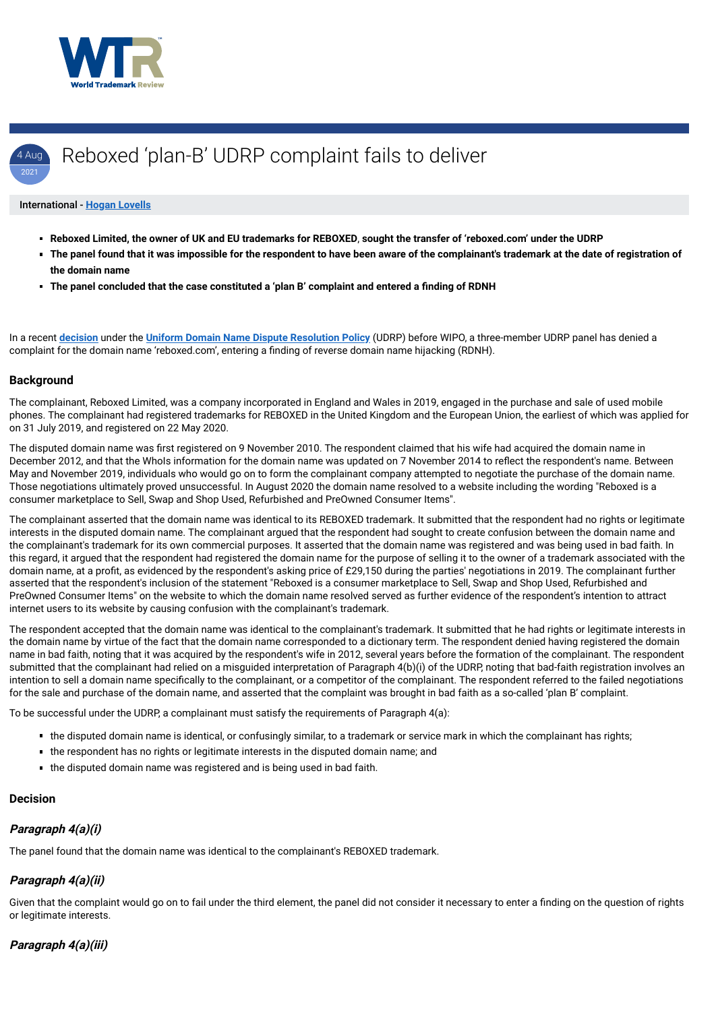



#### International - **[Hogan Lovells](https://www.worldtrademarkreview.com/Daily/Contributors#France)**

- **Reboxed Limited, the owner of UK and EU trademarks for REBOXED**, **sought the transfer of 'reboxed.com' under the UDRP**
- **The panel found that it was impossible for the respondent to have been aware of the complainant's trademark at the date of registration of the domain name**
- **The panel concluded that the case constituted a 'plan B' complaint and entered a finding of RDNH**

In a recent **[decision](https://www.wipo.int/amc/en/domains/search/text.jsp?case=D2021-0886)** under the **[Uniform Domain Name Dispute Resolution Policy](https://www.icann.org/resources/pages/help/dndr/udrp-en)** (UDRP) before WIPO, a three-member UDRP panel has denied a complaint for the domain name 'reboxed.com', entering a finding of reverse domain name hijacking (RDNH).

#### **Background**

The complainant, Reboxed Limited, was a company incorporated in England and Wales in 2019, engaged in the purchase and sale of used mobile phones. The complainant had registered trademarks for REBOXED in the United Kingdom and the European Union, the earliest of which was applied for on 31 July 2019, and registered on 22 May 2020.

The disputed domain name was first registered on 9 November 2010. The respondent claimed that his wife had acquired the domain name in December 2012, and that the WhoIs information for the domain name was updated on 7 November 2014 to reflect the respondent's name. Between May and November 2019, individuals who would go on to form the complainant company attempted to negotiate the purchase of the domain name. Those negotiations ultimately proved unsuccessful. In August 2020 the domain name resolved to a website including the wording "Reboxed is a consumer marketplace to Sell, Swap and Shop Used, Refurbished and PreOwned Consumer Items".

- the disputed domain name is identical, or confusingly similar, to a trademark or service mark in which the complainant has rights;
- the respondent has no rights or legitimate interests in the disputed domain name; and
- 
- $\blacksquare$  the disputed domain name was registered and is being used in bad faith.

The complainant asserted that the domain name was identical to its REBOXED trademark. It submitted that the respondent had no rights or legitimate interests in the disputed domain name. The complainant argued that the respondent had sought to create confusion between the domain name and the complainant's trademark for its own commercial purposes. It asserted that the domain name was registered and was being used in bad faith. In this regard, it argued that the respondent had registered the domain name for the purpose of selling it to the owner of a trademark associated with the domain name, at a profit, as evidenced by the respondent's asking price of £29,150 during the parties' negotiations in 2019. The complainant further asserted that the respondent's inclusion of the statement "Reboxed is a consumer marketplace to Sell, Swap and Shop Used, Refurbished and PreOwned Consumer Items" on the website to which the domain name resolved served as further evidence of the respondent's intention to attract internet users to its website by causing confusion with the complainant's trademark.

The respondent accepted that the domain name was identical to the complainant's trademark. It submitted that he had rights or legitimate interests in the domain name by virtue of the fact that the domain name corresponded to a dictionary term. The respondent denied having registered the domain name in bad faith, noting that it was acquired by the respondent's wife in 2012, several years before the formation of the complainant. The respondent submitted that the complainant had relied on a misguided interpretation of Paragraph 4(b)(i) of the UDRP, noting that bad-faith registration involves an intention to sell a domain name specifically to the complainant, or a competitor of the complainant. The respondent referred to the failed negotiations for the sale and purchase of the domain name, and asserted that the complaint was brought in bad faith as a so-called 'plan B' complaint.

To be successful under the UDRP, a complainant must satisfy the requirements of Paragraph 4(a):

#### **Decision**

### **Paragraph 4(a)(i)**

The panel found that the domain name was identical to the complainant's REBOXED trademark.

### **Paragraph 4(a)(ii)**

Given that the complaint would go on to fail under the third element, the panel did not consider it necessary to enter a finding on the question of rights or legitimate interests.

**Paragraph 4(a)(iii)**